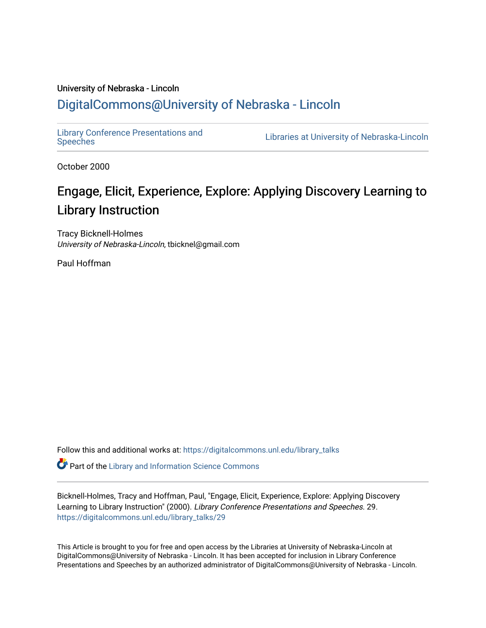#### University of Nebraska - Lincoln [DigitalCommons@University of Nebraska - Lincoln](https://digitalcommons.unl.edu/)

[Library Conference Presentations and](https://digitalcommons.unl.edu/library_talks) 

Libraries at University of Nebraska-Lincoln

October 2000

#### Engage, Elicit, Experience, Explore: Applying Discovery Learning to Library Instruction

Tracy Bicknell-Holmes University of Nebraska-Lincoln, tbicknel@gmail.com

Paul Hoffman

Follow this and additional works at: [https://digitalcommons.unl.edu/library\\_talks](https://digitalcommons.unl.edu/library_talks?utm_source=digitalcommons.unl.edu%2Flibrary_talks%2F29&utm_medium=PDF&utm_campaign=PDFCoverPages) 

**P** Part of the Library and Information Science Commons

Bicknell-Holmes, Tracy and Hoffman, Paul, "Engage, Elicit, Experience, Explore: Applying Discovery Learning to Library Instruction" (2000). Library Conference Presentations and Speeches. 29. [https://digitalcommons.unl.edu/library\\_talks/29](https://digitalcommons.unl.edu/library_talks/29?utm_source=digitalcommons.unl.edu%2Flibrary_talks%2F29&utm_medium=PDF&utm_campaign=PDFCoverPages)

This Article is brought to you for free and open access by the Libraries at University of Nebraska-Lincoln at DigitalCommons@University of Nebraska - Lincoln. It has been accepted for inclusion in Library Conference Presentations and Speeches by an authorized administrator of DigitalCommons@University of Nebraska - Lincoln.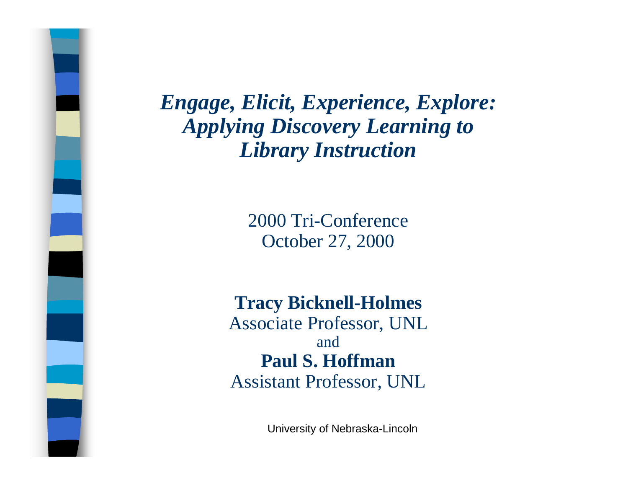> 2000 Tri-Conference October 27, 2000

**Tracy Bicknell-Holmes** Associate Professor, UNL and**Paul S. Hoffman**Assistant Professor, UNL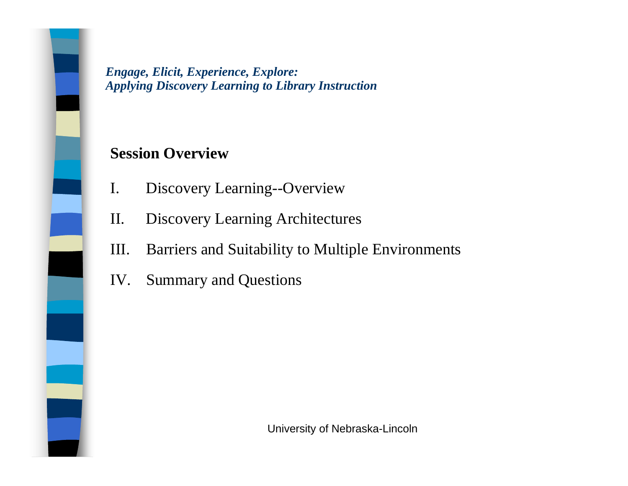#### **Session Overview**

- I. Discovery Learning--Overview
- II. Discovery Learning Architectures
- III. Barriers and Suitability to Multiple Environments
- IV. Summary and Questions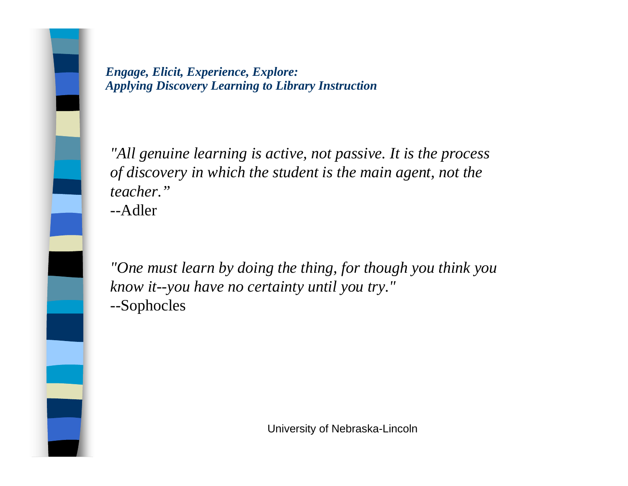*"All genuine learning is active, not passive. It is the process of discovery in which the student is the main agent, not the teacher."*--Adler

*"One must learn by doing the thing, for though you think you know it--you have no certainty until you try."* --Sophocles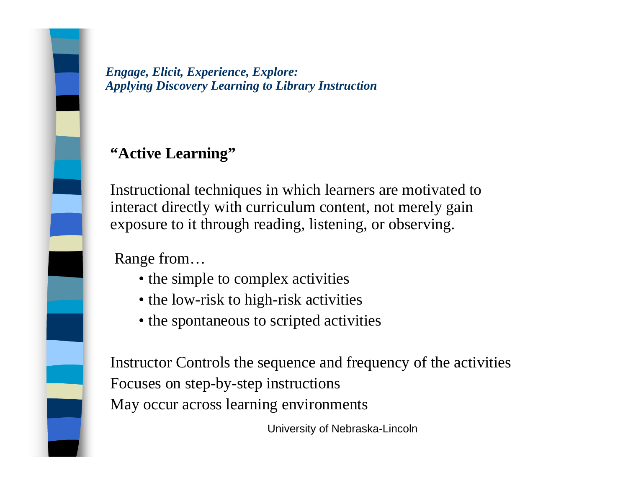#### **"Active Learning"**

Instructional techniques in which learners are motivated to interact directly with curriculum content, not merely gain exposure to it through reading, listening, or observing.

Range from…

- the simple to complex activities
- the low-risk to high-risk activities
- the spontaneous to scripted activities

Instructor Controls the sequence and frequency of the activities Focuses on step-by-step instructions May occur across learning environments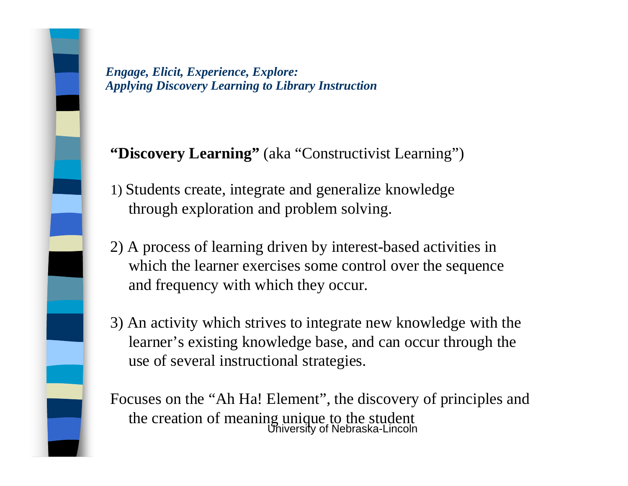#### **"Discovery Learning"** (aka "Constructivist Learning")

- 1) Students create, integrate and generalize knowledge through exploration and problem solving.
- 2) A process of learning driven by interest-based activities in which the learner exercises some control over the sequence and frequency with which they occur.
- 3) An activity which strives to integrate new knowledge with the learner's existing knowledge base, and can occur through the use of several instructional strategies.

University of Nebraska-Lincoln Focuses on the "Ah Ha! Element", the discovery of principles and the creation of meaning unique to the student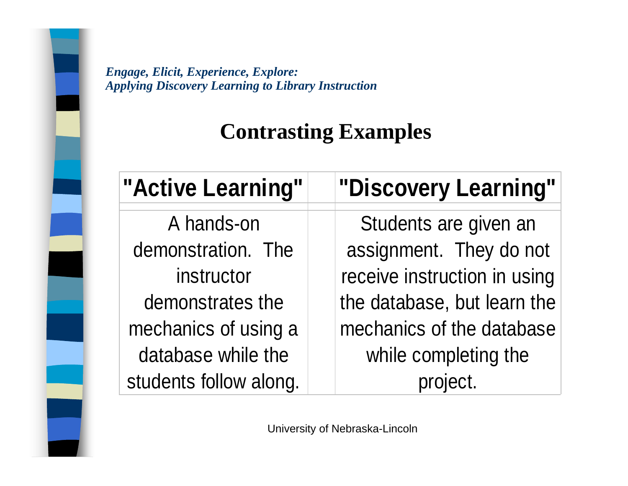### **Contrasting Examples**

| "Active Learning"      | "Discovery Learning"         |
|------------------------|------------------------------|
| A hands-on             | Students are given an        |
| demonstration. The     | assignment. They do not      |
| instructor             | receive instruction in using |
| demonstrates the       | the database, but learn the  |
| mechanics of using a   | mechanics of the database    |
| database while the     | while completing the         |
| students follow along. |                              |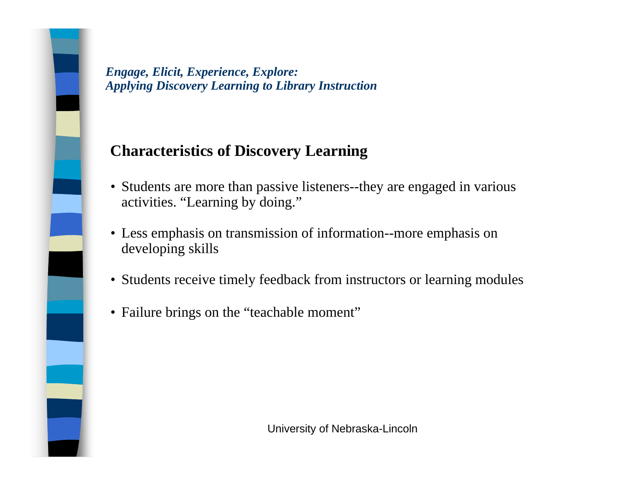#### **Characteristics of Discovery Learning**

- Students are more than passive listeners--they are engaged in various activities. "Learning by doing."
- Less emphasis on transmission of information--more emphasis on developing skills
- Students receive timely feedback from instructors or learning modules
- Failure brings on the "teachable moment"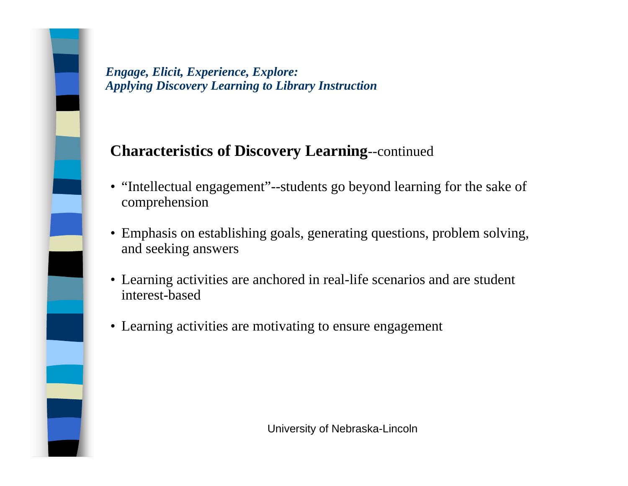#### **Characteristics of Discovery Learning**--continued

- "Intellectual engagement"--students go beyond learning for the sake of comprehension
- Emphasis on establishing goals, generating questions, problem solving, and seeking answers
- Learning activities are anchored in real-life scenarios and are student interest-based
- Learning activities are motivating to ensure engagement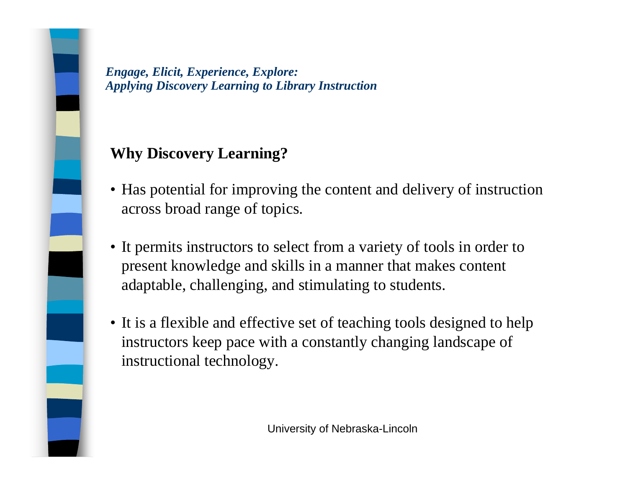#### **Why Discovery Learning?**

- Has potential for improving the content and delivery of instruction across broad range of topics.
- It permits instructors to select from a variety of tools in order to present knowledge and skills in a manner that makes content adaptable, challenging, and stimulating to students.
- It is a flexible and effective set of teaching tools designed to help instructors keep pace with a constantly changing landscape of instructional technology.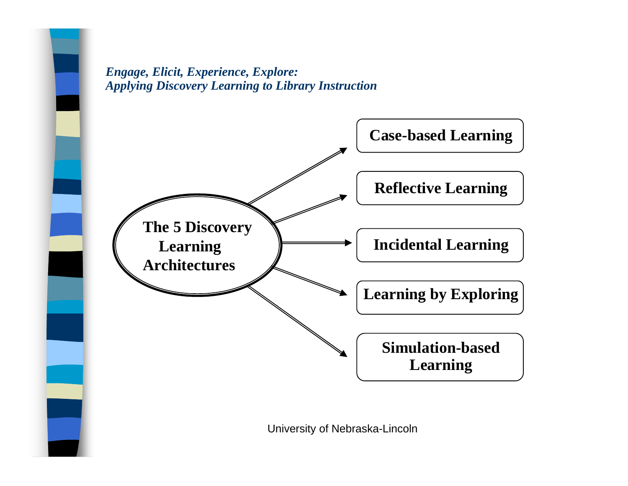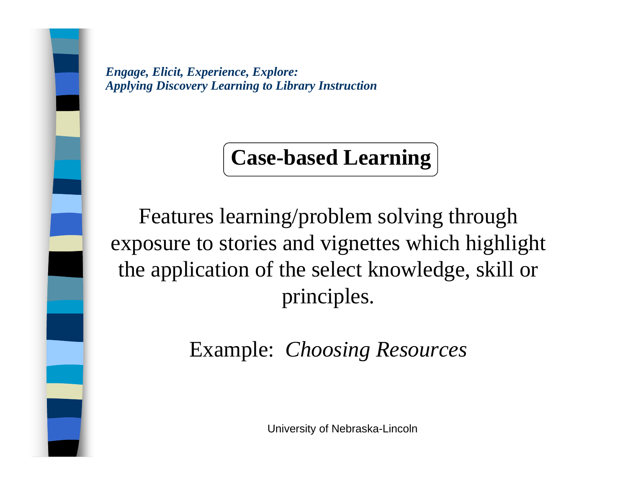### **Case-based Learning**

Features learning/problem solving through exposure to stories and vignettes which highlight the application of the select knowledge, skill or principles.

Example: *Choosing Resources*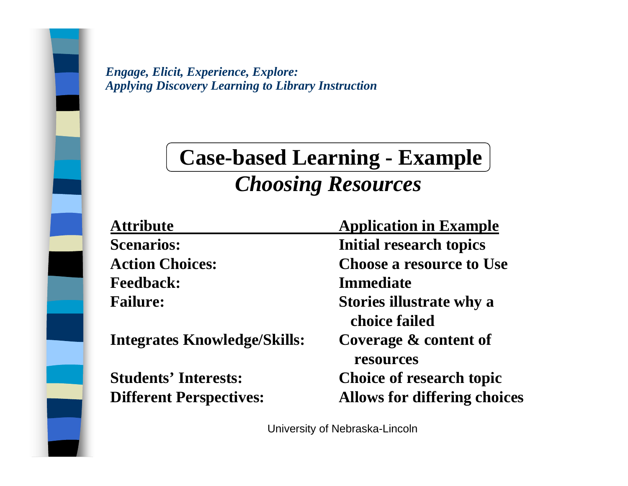## **Case-based Learning - Example** *Choosing Resources*

| <b>Attribute</b>                    | <b>Application in Example</b>                    |
|-------------------------------------|--------------------------------------------------|
| <b>Scenarios:</b>                   | <b>Initial research topics</b>                   |
| <b>Action Choices:</b>              | <b>Choose a resource to Use</b>                  |
| <b>Feedback:</b>                    | <b>Immediate</b>                                 |
| <b>Failure:</b>                     | <b>Stories illustrate why a</b><br>choice failed |
| <b>Integrates Knowledge/Skills:</b> | Coverage & content of<br>resources               |
| <b>Students' Interests:</b>         | Choice of research topic                         |
| <b>Different Perspectives:</b>      | <b>Allows for differing choices</b>              |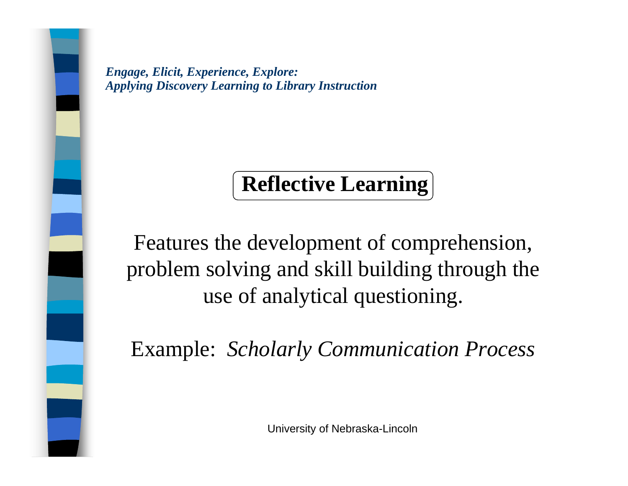# **Reflective Learning**

Features the development of comprehension, problem solving and skill building through the use of analytical questioning.

Example: *Scholarly Communication Process*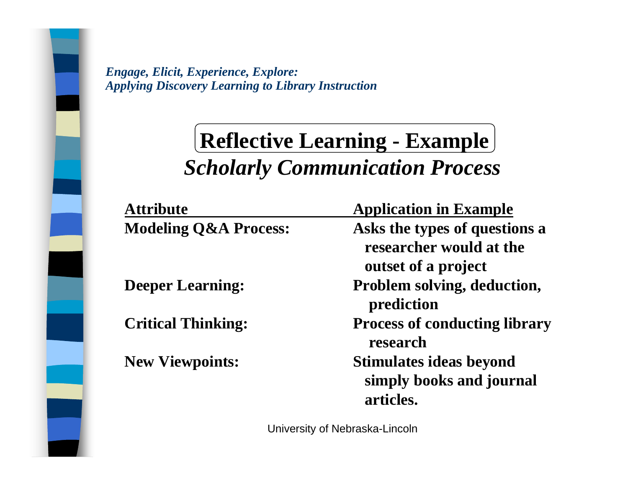## **Reflective Learning - Example** *Scholarly Communication Process*

| <b>Attribute</b>                 | <b>Application in Example</b>                                                   |
|----------------------------------|---------------------------------------------------------------------------------|
| <b>Modeling Q&amp;A Process:</b> | Asks the types of questions a<br>researcher would at the<br>outset of a project |
| <b>Deeper Learning:</b>          | Problem solving, deduction,<br>prediction                                       |
| <b>Critical Thinking:</b>        | <b>Process of conducting library</b><br>research                                |
| <b>New Viewpoints:</b>           | <b>Stimulates ideas beyond</b><br>simply books and journal<br>articles.         |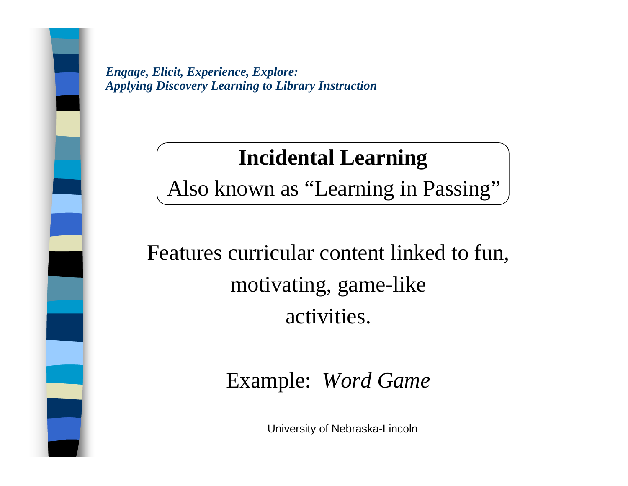### **Incidental Learning**

Also known as "Learning in Passing"

Features curricular content linked to fun, motivating, game-like activities.

Example: *Word Game*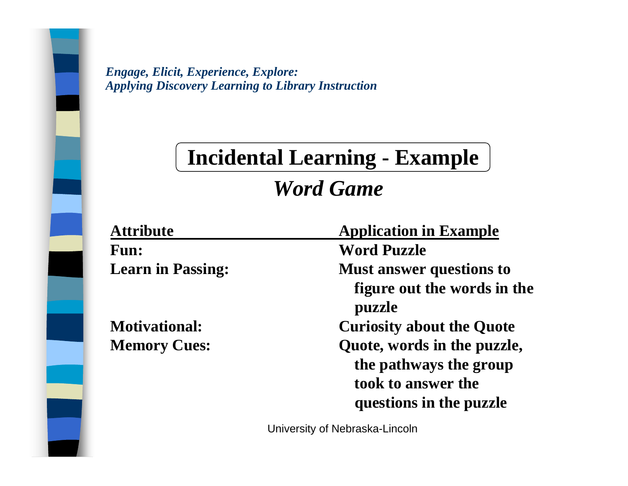## **Incidental Learning - Example**

### *Word Game*

| <b>Attribute</b>         | <b>Application in Example</b>         |
|--------------------------|---------------------------------------|
| <b>Fun:</b>              | <b>Word Puzzle</b>                    |
| <b>Learn in Passing:</b> | <b>Must answer questions to</b>       |
|                          | figure out the words in the<br>puzzle |
| <b>Motivational:</b>     | <b>Curiosity about the Quote</b>      |
| <b>Memory Cues:</b>      | Quote, words in the puzzle,           |
|                          | the pathways the group                |
|                          | took to answer the                    |
|                          | questions in the puzzle               |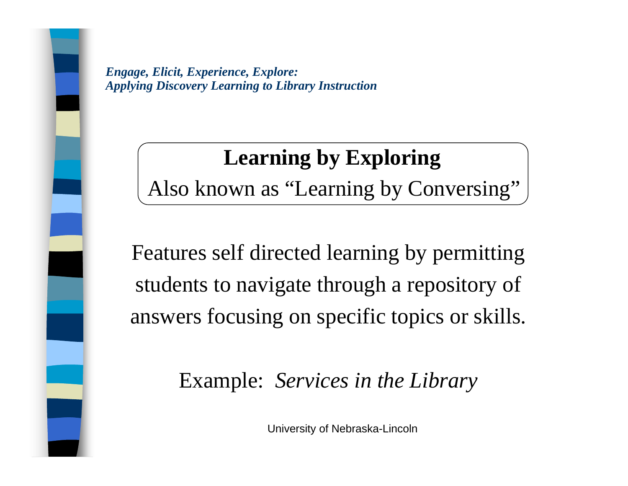## **Learning by Exploring**

Also known as "Learning by Conversing"

Features self directed learning by permitting students to navigate through a repository of answers focusing on specific topics or skills.

Example: *Services in the Library*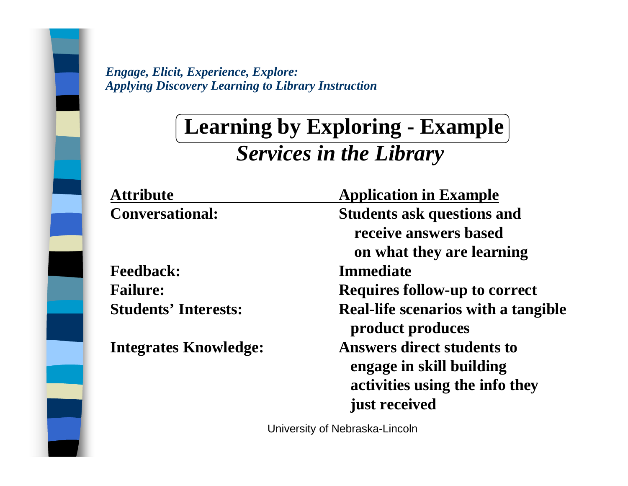### **Learning by Exploring - Example** *Services in the Library*

| <b>Attribute</b>             | <b>Application in Example</b>                                                                                    |
|------------------------------|------------------------------------------------------------------------------------------------------------------|
| <b>Conversational:</b>       | <b>Students ask questions and</b><br>receive answers based<br>on what they are learning                          |
| <b>Feedback:</b>             | <b>Immediate</b>                                                                                                 |
| <b>Failure:</b>              | <b>Requires follow-up to correct</b>                                                                             |
| <b>Students' Interests:</b>  | <b>Real-life scenarios with a tangible</b><br>product produces                                                   |
| <b>Integrates Knowledge:</b> | <b>Answers direct students to</b><br>engage in skill building<br>activities using the info they<br>just received |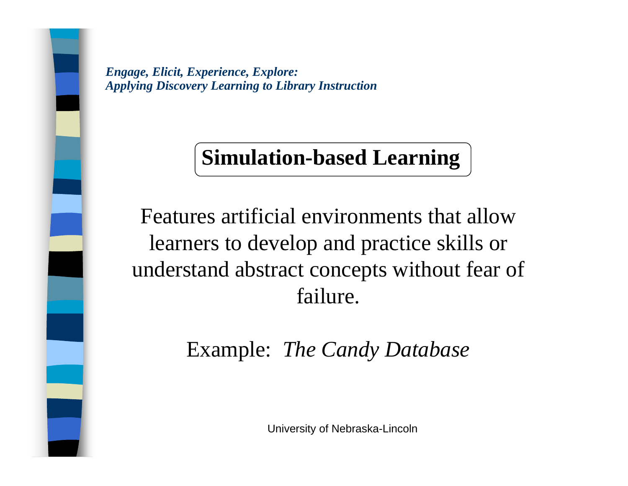## **Simulation-based Learning**

Features artificial environments that allow learners to develop and practice skills or understand abstract concepts without fear of failure.

Example: *The Candy Database*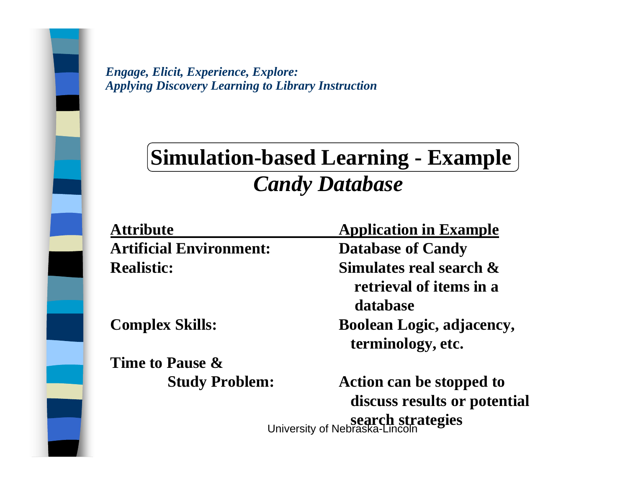## **Simulation-based Learning - Example** *Candy Database*

| <b>Attribute</b>               | <b>Application in Example</b>                            |
|--------------------------------|----------------------------------------------------------|
| <b>Artificial Environment:</b> | <b>Database of Candy</b>                                 |
| <b>Realistic:</b>              | Simulates real search $\&$<br>retrieval of items in a    |
|                                | database                                                 |
| <b>Complex Skills:</b>         | <b>Boolean Logic, adjacency,</b><br>terminology, etc.    |
| Time to Pause &                |                                                          |
| <b>Study Problem:</b>          | Action can be stopped to<br>discuss results or potential |
|                                | search strategies<br>University of Nebraska-Lincoln      |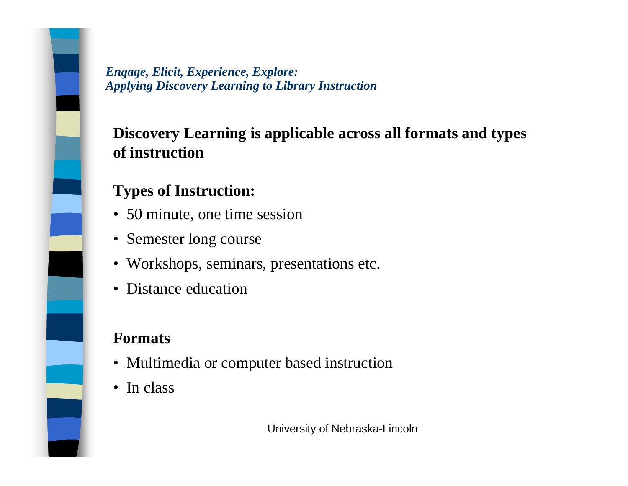### **Discovery Learning is applicable across all formats and types of instruction**

### **Types of Instruction:**

- 50 minute, one time session
- Semester long course
- Workshops, seminars, presentations etc.
- Distance education

### **Formats**

- Multimedia or computer based instruction
- In class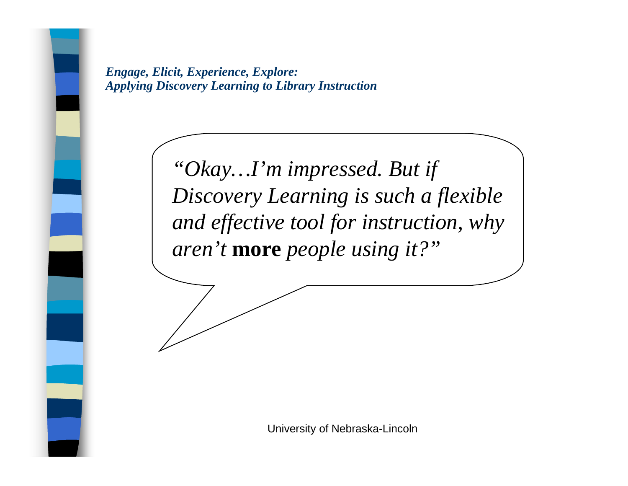> *"Okay…I'm impressed. But if Discovery Learning is such a flexible and effective tool for instruction, why aren't* **more** *people using it?"*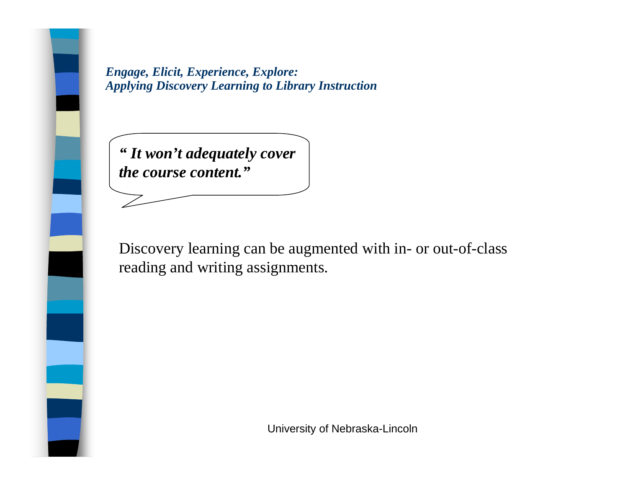*" It won't adequately cover the course content."*

Discovery learning can be augmented with in- or out-of-class reading and writing assignments.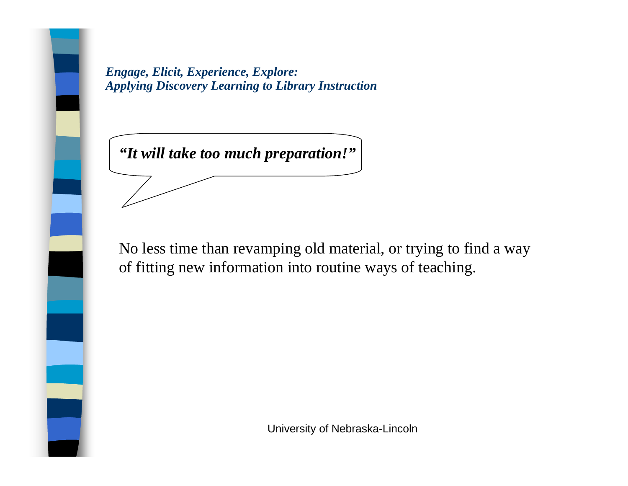*"It will take too much preparation!"*

No less time than revamping old material, or trying to find a way of fitting new information into routine ways of teaching.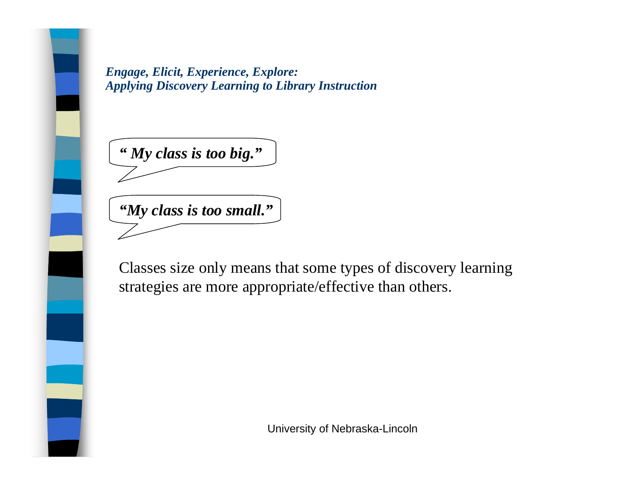*" My class is too big."*

*"My class is too small."*

Classes size only means that some types of discovery learning strategies are more appropriate/effective than others.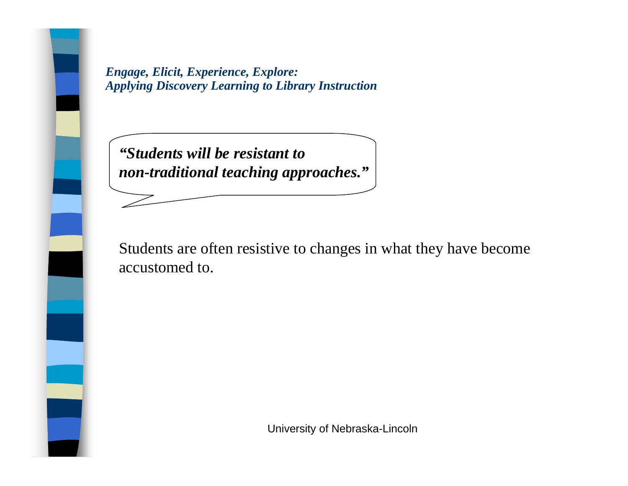*"Students will be resistant to non-traditional teaching approaches."*

Students are often resistive to changes in what they have become accustomed to.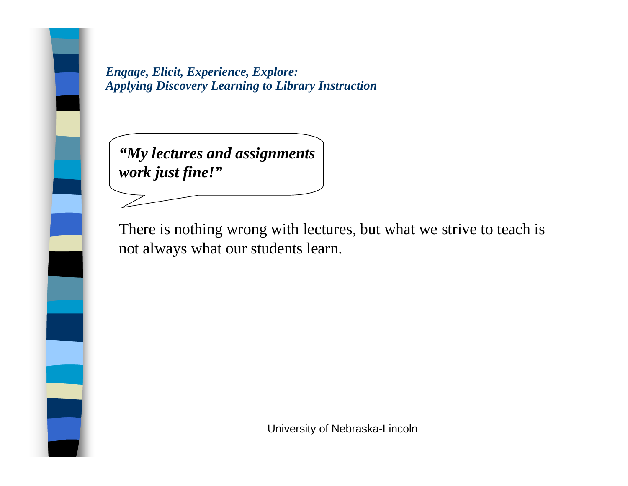*"My lectures and assignments work just fine!"*

There is nothing wrong with lectures, but what we strive to teach is not always what our students learn.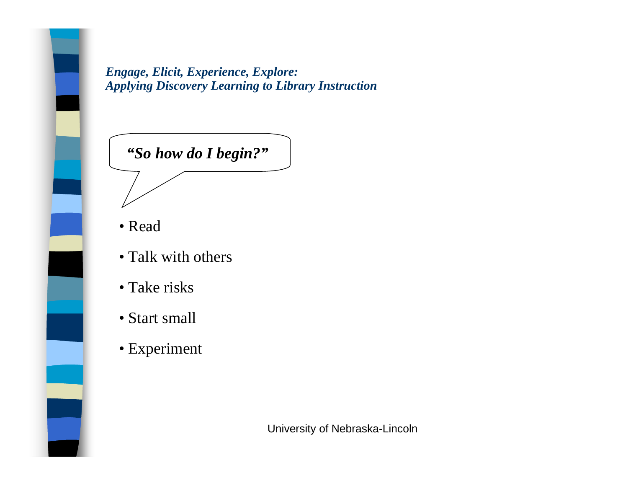

- Read
- Talk with others
- Take risks
- Start small
- Experiment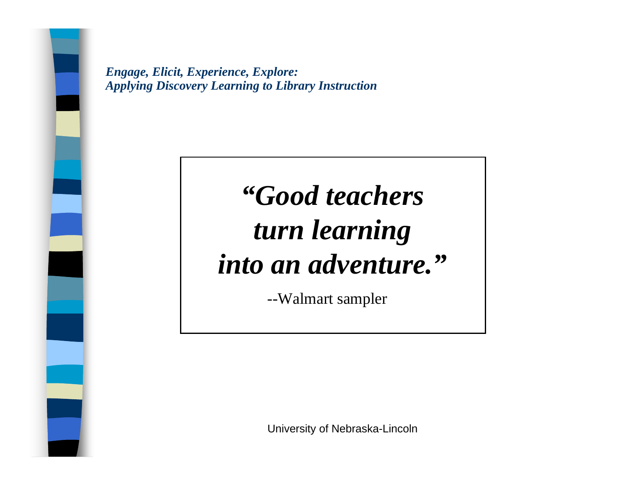# *"Good teachers turn learning into an adventure."*

--Walmart sampler